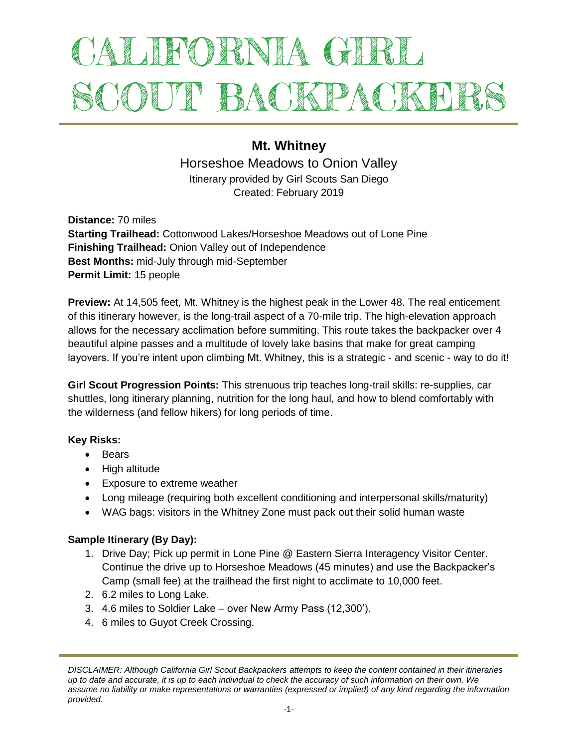# ALIFORNIA GIRL SCOUT BACKPACKEL

# **Mt. Whitney**

Horseshoe Meadows to Onion Valley Itinerary provided by Girl Scouts San Diego Created: February 2019

**Distance:** 70 miles **Starting Trailhead:** Cottonwood Lakes/Horseshoe Meadows out of Lone Pine **Finishing Trailhead:** Onion Valley out of Independence **Best Months:** mid-July through mid-September **Permit Limit:** 15 people

**Preview:** At 14,505 feet, Mt. Whitney is the highest peak in the Lower 48. The real enticement of this itinerary however, is the long-trail aspect of a 70-mile trip. The high-elevation approach allows for the necessary acclimation before summiting. This route takes the backpacker over 4 beautiful alpine passes and a multitude of lovely lake basins that make for great camping layovers. If you're intent upon climbing Mt. Whitney, this is a strategic - and scenic - way to do it!

**Girl Scout Progression Points:** This strenuous trip teaches long-trail skills: re-supplies, car shuttles, long itinerary planning, nutrition for the long haul, and how to blend comfortably with the wilderness (and fellow hikers) for long periods of time.

#### **Key Risks:**

- Bears
- High altitude
- Exposure to extreme weather
- Long mileage (requiring both excellent conditioning and interpersonal skills/maturity)
- WAG bags: visitors in the Whitney Zone must pack out their solid human waste

# **Sample Itinerary (By Day):**

- 1. Drive Day; Pick up permit in Lone Pine @ Eastern Sierra Interagency Visitor Center. Continue the drive up to Horseshoe Meadows (45 minutes) and use the Backpacker's Camp (small fee) at the trailhead the first night to acclimate to 10,000 feet.
- 2. 6.2 miles to Long Lake.
- 3. 4.6 miles to Soldier Lake over New Army Pass (12,300').
- 4. 6 miles to Guyot Creek Crossing.

*DISCLAIMER: Although California Girl Scout Backpackers attempts to keep the content contained in their itineraries up to date and accurate, it is up to each individual to check the accuracy of such information on their own. We assume no liability or make representations or warranties (expressed or implied) of any kind regarding the information provided.*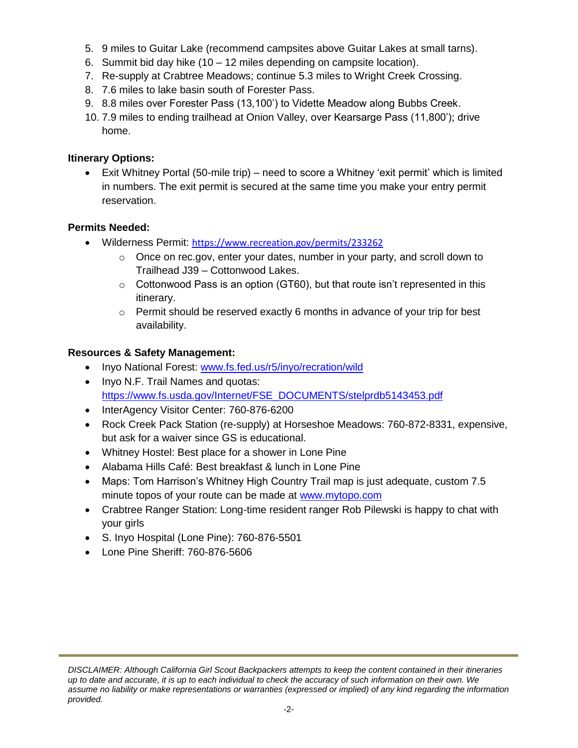- 5. 9 miles to Guitar Lake (recommend campsites above Guitar Lakes at small tarns).
- 6. Summit bid day hike (10 12 miles depending on campsite location).
- 7. Re-supply at Crabtree Meadows; continue 5.3 miles to Wright Creek Crossing.
- 8. 7.6 miles to lake basin south of Forester Pass.
- 9. 8.8 miles over Forester Pass (13,100') to Vidette Meadow along Bubbs Creek.
- 10. 7.9 miles to ending trailhead at Onion Valley, over Kearsarge Pass (11,800'); drive home.

#### **Itinerary Options:**

 Exit Whitney Portal (50-mile trip) – need to score a Whitney 'exit permit' which is limited in numbers. The exit permit is secured at the same time you make your entry permit reservation.

# **Permits Needed:**

- Wilderness Permit: <https://www.recreation.gov/permits/233262>
	- $\circ$  Once on rec.gov, enter your dates, number in your party, and scroll down to Trailhead J39 – Cottonwood Lakes.
	- $\circ$  Cottonwood Pass is an option (GT60), but that route isn't represented in this itinerary.
	- o Permit should be reserved exactly 6 months in advance of your trip for best availability.

### **Resources & Safety Management:**

- Inyo National Forest: [www.fs.fed.us/r5/inyo/recration/wild](http://www.fs.fed.us/r5/inyo/recration/wild)
- Inyo N.F. Trail Names and quotas: [https://www.fs.usda.gov/Internet/FSE\\_DOCUMENTS/stelprdb5143453.pdf](https://www.fs.usda.gov/Internet/FSE_DOCUMENTS/stelprdb5143453.pdf)
- InterAgency Visitor Center: 760-876-6200
- Rock Creek Pack Station (re-supply) at Horseshoe Meadows: 760-872-8331, expensive, but ask for a waiver since GS is educational.
- Whitney Hostel: Best place for a shower in Lone Pine
- Alabama Hills Café: Best breakfast & lunch in Lone Pine
- Maps: Tom Harrison's Whitney High Country Trail map is just adequate, custom 7.5 minute topos of your route can be made at [www.mytopo.com](http://www.mytopo.com/)
- Crabtree Ranger Station: Long-time resident ranger Rob Pilewski is happy to chat with your girls
- S. Inyo Hospital (Lone Pine): 760-876-5501
- Lone Pine Sheriff: 760-876-5606

*DISCLAIMER: Although California Girl Scout Backpackers attempts to keep the content contained in their itineraries up to date and accurate, it is up to each individual to check the accuracy of such information on their own. We assume no liability or make representations or warranties (expressed or implied) of any kind regarding the information provided.*